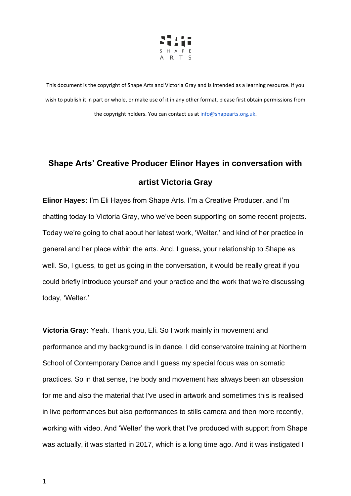

## **Shape Arts' Creative Producer Elinor Hayes in conversation with artist Victoria Gray**

**Elinor Hayes:** I'm Eli Hayes from Shape Arts. I'm a Creative Producer, and I'm chatting today to Victoria Gray, who we've been supporting on some recent projects. Today we're going to chat about her latest work, 'Welter,' and kind of her practice in general and her place within the arts. And, I guess, your relationship to Shape as well. So, I guess, to get us going in the conversation, it would be really great if you could briefly introduce yourself and your practice and the work that we're discussing today, 'Welter.'

**Victoria Gray:** Yeah. Thank you, Eli. So I work mainly in movement and performance and my background is in dance. I did conservatoire training at Northern School of Contemporary Dance and I guess my special focus was on somatic practices. So in that sense, the body and movement has always been an obsession for me and also the material that I've used in artwork and sometimes this is realised in live performances but also performances to stills camera and then more recently, working with video. And 'Welter' the work that I've produced with support from Shape was actually, it was started in 2017, which is a long time ago. And it was instigated I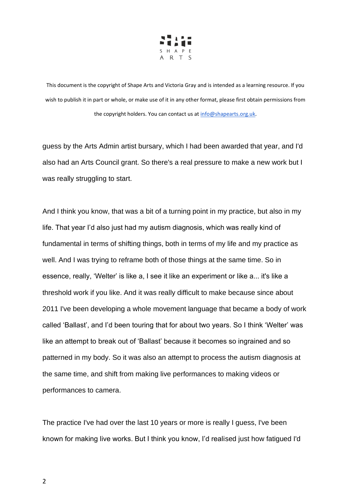

guess by the Arts Admin artist bursary, which I had been awarded that year, and I'd also had an Arts Council grant. So there's a real pressure to make a new work but I was really struggling to start.

And I think you know, that was a bit of a turning point in my practice, but also in my life. That year I'd also just had my autism diagnosis, which was really kind of fundamental in terms of shifting things, both in terms of my life and my practice as well. And I was trying to reframe both of those things at the same time. So in essence, really, 'Welter' is like a, I see it like an experiment or like a... it's like a threshold work if you like. And it was really difficult to make because since about 2011 I've been developing a whole movement language that became a body of work called 'Ballast', and I'd been touring that for about two years. So I think 'Welter' was like an attempt to break out of 'Ballast' because it becomes so ingrained and so patterned in my body. So it was also an attempt to process the autism diagnosis at the same time, and shift from making live performances to making videos or performances to camera.

The practice I've had over the last 10 years or more is really I guess, I've been known for making live works. But I think you know, I'd realised just how fatigued I'd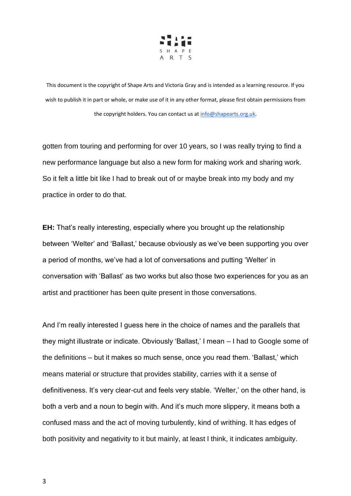

gotten from touring and performing for over 10 years, so I was really trying to find a new performance language but also a new form for making work and sharing work. So it felt a little bit like I had to break out of or maybe break into my body and my practice in order to do that.

**EH:** That's really interesting, especially where you brought up the relationship between 'Welter' and 'Ballast,' because obviously as we've been supporting you over a period of months, we've had a lot of conversations and putting 'Welter' in conversation with 'Ballast' as two works but also those two experiences for you as an artist and practitioner has been quite present in those conversations.

And I'm really interested I guess here in the choice of names and the parallels that they might illustrate or indicate. Obviously 'Ballast,' I mean – I had to Google some of the definitions – but it makes so much sense, once you read them. 'Ballast,' which means material or structure that provides stability, carries with it a sense of definitiveness. It's very clear-cut and feels very stable. 'Welter,' on the other hand, is both a verb and a noun to begin with. And it's much more slippery, it means both a confused mass and the act of moving turbulently, kind of writhing. It has edges of both positivity and negativity to it but mainly, at least I think, it indicates ambiguity.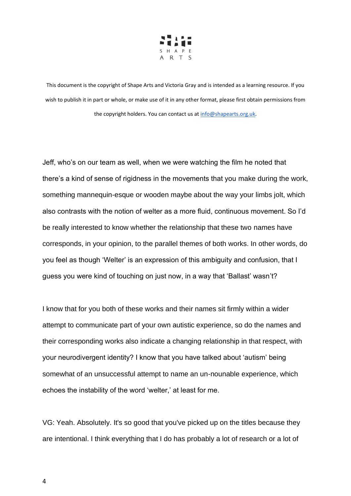

Jeff, who's on our team as well, when we were watching the film he noted that there's a kind of sense of rigidness in the movements that you make during the work, something mannequin-esque or wooden maybe about the way your limbs jolt, which also contrasts with the notion of welter as a more fluid, continuous movement. So I'd be really interested to know whether the relationship that these two names have corresponds, in your opinion, to the parallel themes of both works. In other words, do you feel as though 'Welter' is an expression of this ambiguity and confusion, that I guess you were kind of touching on just now, in a way that 'Ballast' wasn't?

I know that for you both of these works and their names sit firmly within a wider attempt to communicate part of your own autistic experience, so do the names and their corresponding works also indicate a changing relationship in that respect, with your neurodivergent identity? I know that you have talked about 'autism' being somewhat of an unsuccessful attempt to name an un-nounable experience, which echoes the instability of the word 'welter,' at least for me.

VG: Yeah. Absolutely. It's so good that you've picked up on the titles because they are intentional. I think everything that I do has probably a lot of research or a lot of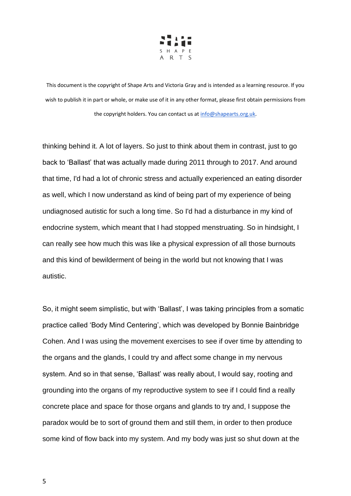

thinking behind it. A lot of layers. So just to think about them in contrast, just to go back to 'Ballast' that was actually made during 2011 through to 2017. And around that time, I'd had a lot of chronic stress and actually experienced an eating disorder as well, which I now understand as kind of being part of my experience of being undiagnosed autistic for such a long time. So I'd had a disturbance in my kind of endocrine system, which meant that I had stopped menstruating. So in hindsight, I can really see how much this was like a physical expression of all those burnouts and this kind of bewilderment of being in the world but not knowing that I was autistic.

So, it might seem simplistic, but with 'Ballast', I was taking principles from a somatic practice called 'Body Mind Centering', which was developed by Bonnie Bainbridge Cohen. And I was using the movement exercises to see if over time by attending to the organs and the glands, I could try and affect some change in my nervous system. And so in that sense, 'Ballast' was really about, I would say, rooting and grounding into the organs of my reproductive system to see if I could find a really concrete place and space for those organs and glands to try and, I suppose the paradox would be to sort of ground them and still them, in order to then produce some kind of flow back into my system. And my body was just so shut down at the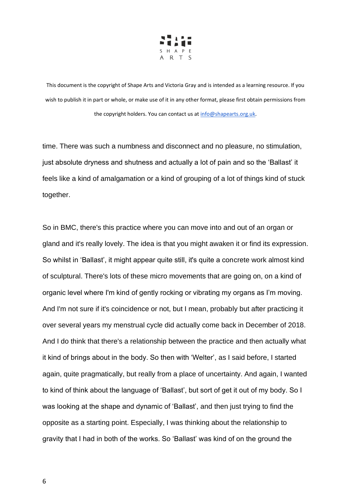

time. There was such a numbness and disconnect and no pleasure, no stimulation, just absolute dryness and shutness and actually a lot of pain and so the 'Ballast' it feels like a kind of amalgamation or a kind of grouping of a lot of things kind of stuck together.

So in BMC, there's this practice where you can move into and out of an organ or gland and it's really lovely. The idea is that you might awaken it or find its expression. So whilst in 'Ballast', it might appear quite still, it's quite a concrete work almost kind of sculptural. There's lots of these micro movements that are going on, on a kind of organic level where I'm kind of gently rocking or vibrating my organs as I'm moving. And I'm not sure if it's coincidence or not, but I mean, probably but after practicing it over several years my menstrual cycle did actually come back in December of 2018. And I do think that there's a relationship between the practice and then actually what it kind of brings about in the body. So then with 'Welter', as I said before, I started again, quite pragmatically, but really from a place of uncertainty. And again, I wanted to kind of think about the language of 'Ballast', but sort of get it out of my body. So I was looking at the shape and dynamic of 'Ballast', and then just trying to find the opposite as a starting point. Especially, I was thinking about the relationship to gravity that I had in both of the works. So 'Ballast' was kind of on the ground the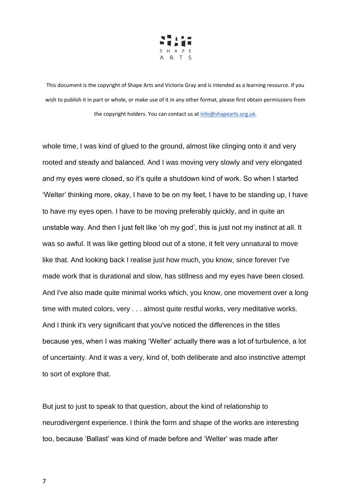

whole time, I was kind of glued to the ground, almost like clinging onto it and very rooted and steady and balanced. And I was moving very slowly and very elongated and my eyes were closed, so it's quite a shutdown kind of work. So when I started 'Welter' thinking more, okay, I have to be on my feet, I have to be standing up, I have to have my eyes open. I have to be moving preferably quickly, and in quite an unstable way. And then I just felt like 'oh my god', this is just not my instinct at all. It was so awful. It was like getting blood out of a stone, it felt very unnatural to move like that. And looking back I realise just how much, you know, since forever I've made work that is durational and slow, has stillness and my eyes have been closed. And I've also made quite minimal works which, you know, one movement over a long time with muted colors, very . . . almost quite restful works, very meditative works. And I think it's very significant that you've noticed the differences in the titles because yes, when I was making 'Welter' actually there was a lot of turbulence, a lot of uncertainty. And it was a very, kind of, both deliberate and also instinctive attempt to sort of explore that.

But just to just to speak to that question, about the kind of relationship to neurodivergent experience. I think the form and shape of the works are interesting too, because 'Ballast' was kind of made before and 'Welter' was made after

7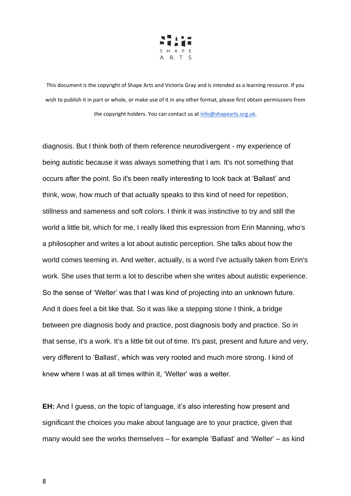

diagnosis. But I think both of them reference neurodivergent - my experience of being autistic because it was always something that I am. It's not something that occurs after the point. So it's been really interesting to look back at 'Ballast' and think, wow, how much of that actually speaks to this kind of need for repetition, stillness and sameness and soft colors. I think it was instinctive to try and still the world a little bit, which for me, I really liked this expression from Erin Manning, who's a philosopher and writes a lot about autistic perception. She talks about how the world comes teeming in. And welter, actually, is a word I've actually taken from Erin's work. She uses that term a lot to describe when she writes about autistic experience. So the sense of 'Welter' was that I was kind of projecting into an unknown future. And it does feel a bit like that. So it was like a stepping stone I think, a bridge between pre diagnosis body and practice, post diagnosis body and practice. So in that sense, it's a work. It's a little bit out of time. It's past, present and future and very, very different to 'Ballast', which was very rooted and much more strong. I kind of knew where I was at all times within it, 'Welter' was a welter.

**EH:** And I guess, on the topic of language, it's also interesting how present and significant the choices you make about language are to your practice, given that many would see the works themselves – for example 'Ballast' and 'Welter' – as kind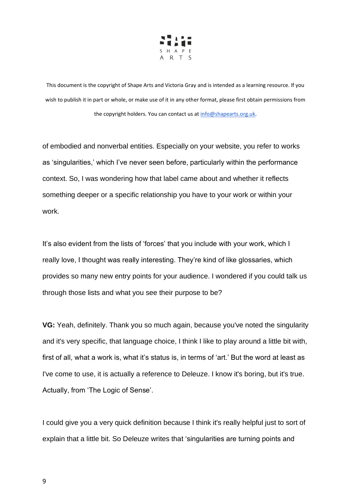

of embodied and nonverbal entities. Especially on your website, you refer to works as 'singularities,' which I've never seen before, particularly within the performance context. So, I was wondering how that label came about and whether it reflects something deeper or a specific relationship you have to your work or within your work.

It's also evident from the lists of 'forces' that you include with your work, which I really love, I thought was really interesting. They're kind of like glossaries, which provides so many new entry points for your audience. I wondered if you could talk us through those lists and what you see their purpose to be?

**VG:** Yeah, definitely. Thank you so much again, because you've noted the singularity and it's very specific, that language choice, I think I like to play around a little bit with, first of all, what a work is, what it's status is, in terms of 'art.' But the word at least as I've come to use, it is actually a reference to Deleuze. I know it's boring, but it's true. Actually, from 'The Logic of Sense'.

I could give you a very quick definition because I think it's really helpful just to sort of explain that a little bit. So Deleuze writes that 'singularities are turning points and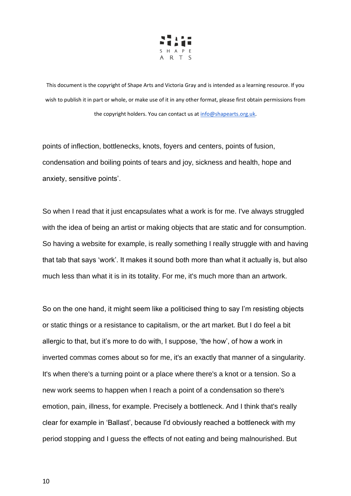

points of inflection, bottlenecks, knots, foyers and centers, points of fusion, condensation and boiling points of tears and joy, sickness and health, hope and anxiety, sensitive points'.

So when I read that it just encapsulates what a work is for me. I've always struggled with the idea of being an artist or making objects that are static and for consumption. So having a website for example, is really something I really struggle with and having that tab that says 'work'. It makes it sound both more than what it actually is, but also much less than what it is in its totality. For me, it's much more than an artwork.

So on the one hand, it might seem like a politicised thing to say I'm resisting objects or static things or a resistance to capitalism, or the art market. But I do feel a bit allergic to that, but it's more to do with, I suppose, 'the how', of how a work in inverted commas comes about so for me, it's an exactly that manner of a singularity. It's when there's a turning point or a place where there's a knot or a tension. So a new work seems to happen when I reach a point of a condensation so there's emotion, pain, illness, for example. Precisely a bottleneck. And I think that's really clear for example in 'Ballast', because I'd obviously reached a bottleneck with my period stopping and I guess the effects of not eating and being malnourished. But

10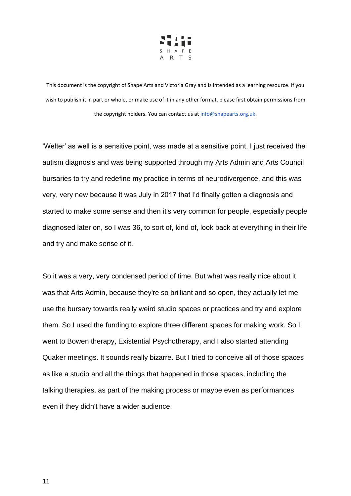

'Welter' as well is a sensitive point, was made at a sensitive point. I just received the autism diagnosis and was being supported through my Arts Admin and Arts Council bursaries to try and redefine my practice in terms of neurodivergence, and this was very, very new because it was July in 2017 that I'd finally gotten a diagnosis and started to make some sense and then it's very common for people, especially people diagnosed later on, so I was 36, to sort of, kind of, look back at everything in their life and try and make sense of it.

So it was a very, very condensed period of time. But what was really nice about it was that Arts Admin, because they're so brilliant and so open, they actually let me use the bursary towards really weird studio spaces or practices and try and explore them. So I used the funding to explore three different spaces for making work. So I went to Bowen therapy, Existential Psychotherapy, and I also started attending Quaker meetings. It sounds really bizarre. But I tried to conceive all of those spaces as like a studio and all the things that happened in those spaces, including the talking therapies, as part of the making process or maybe even as performances even if they didn't have a wider audience.

11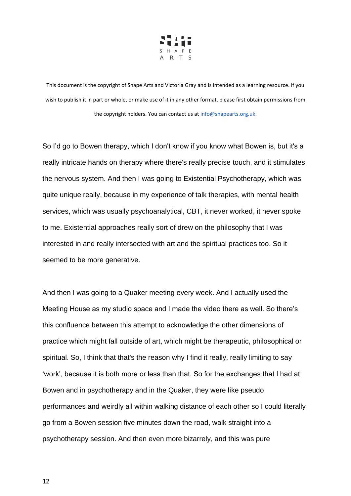

So I'd go to Bowen therapy, which I don't know if you know what Bowen is, but it's a really intricate hands on therapy where there's really precise touch, and it stimulates the nervous system. And then I was going to Existential Psychotherapy, which was quite unique really, because in my experience of talk therapies, with mental health services, which was usually psychoanalytical, CBT, it never worked, it never spoke to me. Existential approaches really sort of drew on the philosophy that I was interested in and really intersected with art and the spiritual practices too. So it seemed to be more generative.

And then I was going to a Quaker meeting every week. And I actually used the Meeting House as my studio space and I made the video there as well. So there's this confluence between this attempt to acknowledge the other dimensions of practice which might fall outside of art, which might be therapeutic, philosophical or spiritual. So, I think that that's the reason why I find it really, really limiting to say 'work', because it is both more or less than that. So for the exchanges that I had at Bowen and in psychotherapy and in the Quaker, they were like pseudo performances and weirdly all within walking distance of each other so I could literally go from a Bowen session five minutes down the road, walk straight into a psychotherapy session. And then even more bizarrely, and this was pure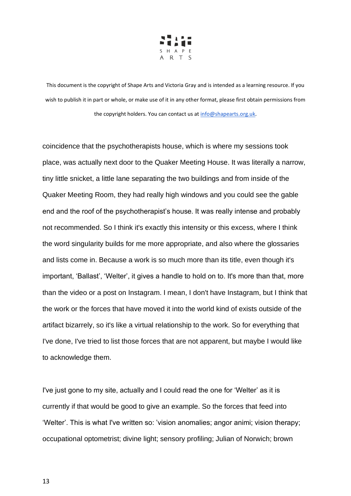

coincidence that the psychotherapists house, which is where my sessions took place, was actually next door to the Quaker Meeting House. It was literally a narrow, tiny little snicket, a little lane separating the two buildings and from inside of the Quaker Meeting Room, they had really high windows and you could see the gable end and the roof of the psychotherapist's house. It was really intense and probably not recommended. So I think it's exactly this intensity or this excess, where I think the word singularity builds for me more appropriate, and also where the glossaries and lists come in. Because a work is so much more than its title, even though it's important, 'Ballast', 'Welter', it gives a handle to hold on to. It's more than that, more than the video or a post on Instagram. I mean, I don't have Instagram, but I think that the work or the forces that have moved it into the world kind of exists outside of the artifact bizarrely, so it's like a virtual relationship to the work. So for everything that I've done, I've tried to list those forces that are not apparent, but maybe I would like to acknowledge them.

I've just gone to my site, actually and I could read the one for 'Welter' as it is currently if that would be good to give an example. So the forces that feed into 'Welter'. This is what I've written so: 'vision anomalies; angor animi; vision therapy; occupational optometrist; divine light; sensory profiling; Julian of Norwich; brown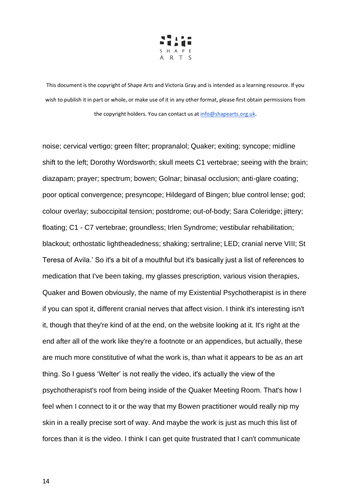

noise; cervical vertigo; green filter; propranalol; Quaker; exiting; syncope; midline shift to the left; Dorothy Wordsworth; skull meets C1 vertebrae; seeing with the brain; diazapam; prayer; spectrum; bowen; Golnar; binasal occlusion; anti-glare coating; poor optical convergence; presyncope; Hildegard of Bingen; blue control lense; god; colour overlay; suboccipital tension; postdrome; out-of-body; Sara Coleridge; jittery; floating; C1 - C7 vertebrae; groundless; Irlen Syndrome; vestibular rehabilitation; blackout; orthostatic lightheadedness; shaking; sertraline; LED; cranial nerve VIII; St Teresa of Avila.' So it's a bit of a mouthful but it's basically just a list of references to medication that I've been taking, my glasses prescription, various vision therapies, Quaker and Bowen obviously, the name of my Existential Psychotherapist is in there if you can spot it, different cranial nerves that affect vision. I think it's interesting isn't it, though that they're kind of at the end, on the website looking at it. It's right at the end after all of the work like they're a footnote or an appendices, but actually, these are much more constitutive of what the work is, than what it appears to be as an art thing. So I guess 'Welter' is not really the video, it's actually the view of the psychotherapist's roof from being inside of the Quaker Meeting Room. That's how I feel when I connect to it or the way that my Bowen practitioner would really nip my skin in a really precise sort of way. And maybe the work is just as much this list of forces than it is the video. I think I can get quite frustrated that I can't communicate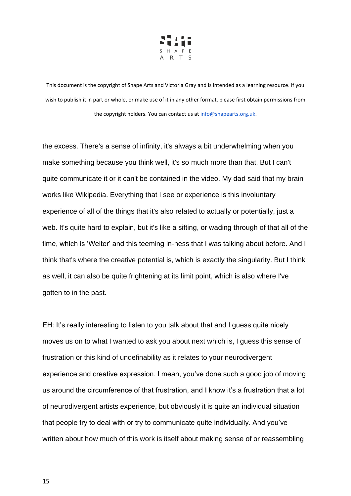

the excess. There's a sense of infinity, it's always a bit underwhelming when you make something because you think well, it's so much more than that. But I can't quite communicate it or it can't be contained in the video. My dad said that my brain works like Wikipedia. Everything that I see or experience is this involuntary experience of all of the things that it's also related to actually or potentially, just a web. It's quite hard to explain, but it's like a sifting, or wading through of that all of the time, which is 'Welter' and this teeming in-ness that I was talking about before. And I think that's where the creative potential is, which is exactly the singularity. But I think as well, it can also be quite frightening at its limit point, which is also where I've gotten to in the past.

EH: It's really interesting to listen to you talk about that and I guess quite nicely moves us on to what I wanted to ask you about next which is, I guess this sense of frustration or this kind of undefinability as it relates to your neurodivergent experience and creative expression. I mean, you've done such a good job of moving us around the circumference of that frustration, and I know it's a frustration that a lot of neurodivergent artists experience, but obviously it is quite an individual situation that people try to deal with or try to communicate quite individually. And you've written about how much of this work is itself about making sense of or reassembling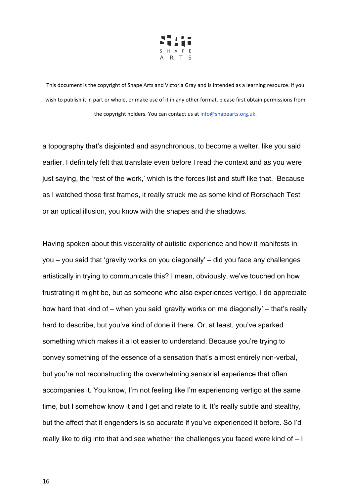

a topography that's disjointed and asynchronous, to become a welter, like you said earlier. I definitely felt that translate even before I read the context and as you were just saying, the 'rest of the work,' which is the forces list and stuff like that. Because as I watched those first frames, it really struck me as some kind of Rorschach Test or an optical illusion, you know with the shapes and the shadows.

Having spoken about this viscerality of autistic experience and how it manifests in you – you said that 'gravity works on you diagonally' – did you face any challenges artistically in trying to communicate this? I mean, obviously, we've touched on how frustrating it might be, but as someone who also experiences vertigo, I do appreciate how hard that kind of – when you said 'gravity works on me diagonally' – that's really hard to describe, but you've kind of done it there. Or, at least, you've sparked something which makes it a lot easier to understand. Because you're trying to convey something of the essence of a sensation that's almost entirely non-verbal, but you're not reconstructing the overwhelming sensorial experience that often accompanies it. You know, I'm not feeling like I'm experiencing vertigo at the same time, but I somehow know it and I get and relate to it. It's really subtle and stealthy, but the affect that it engenders is so accurate if you've experienced it before. So I'd really like to dig into that and see whether the challenges you faced were kind of – I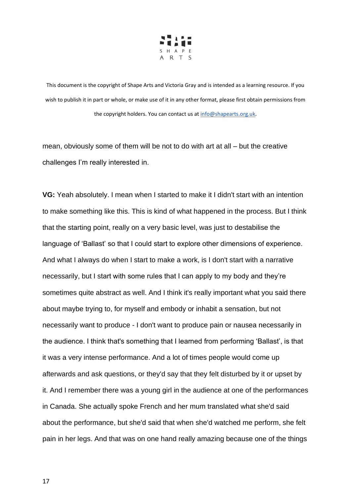

mean, obviously some of them will be not to do with art at all – but the creative challenges I'm really interested in.

**VG:** Yeah absolutely. I mean when I started to make it I didn't start with an intention to make something like this. This is kind of what happened in the process. But I think that the starting point, really on a very basic level, was just to destabilise the language of 'Ballast' so that I could start to explore other dimensions of experience. And what I always do when I start to make a work, is I don't start with a narrative necessarily, but I start with some rules that I can apply to my body and they're sometimes quite abstract as well. And I think it's really important what you said there about maybe trying to, for myself and embody or inhabit a sensation, but not necessarily want to produce - I don't want to produce pain or nausea necessarily in the audience. I think that's something that I learned from performing 'Ballast', is that it was a very intense performance. And a lot of times people would come up afterwards and ask questions, or they'd say that they felt disturbed by it or upset by it. And I remember there was a young girl in the audience at one of the performances in Canada. She actually spoke French and her mum translated what she'd said about the performance, but she'd said that when she'd watched me perform, she felt pain in her legs. And that was on one hand really amazing because one of the things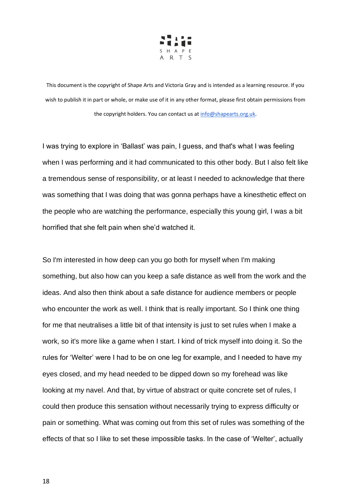

I was trying to explore in 'Ballast' was pain, I guess, and that's what I was feeling when I was performing and it had communicated to this other body. But I also felt like a tremendous sense of responsibility, or at least I needed to acknowledge that there was something that I was doing that was gonna perhaps have a kinesthetic effect on the people who are watching the performance, especially this young girl, I was a bit horrified that she felt pain when she'd watched it.

So I'm interested in how deep can you go both for myself when I'm making something, but also how can you keep a safe distance as well from the work and the ideas. And also then think about a safe distance for audience members or people who encounter the work as well. I think that is really important. So I think one thing for me that neutralises a little bit of that intensity is just to set rules when I make a work, so it's more like a game when I start. I kind of trick myself into doing it. So the rules for 'Welter' were I had to be on one leg for example, and I needed to have my eyes closed, and my head needed to be dipped down so my forehead was like looking at my navel. And that, by virtue of abstract or quite concrete set of rules, I could then produce this sensation without necessarily trying to express difficulty or pain or something. What was coming out from this set of rules was something of the effects of that so I like to set these impossible tasks. In the case of 'Welter', actually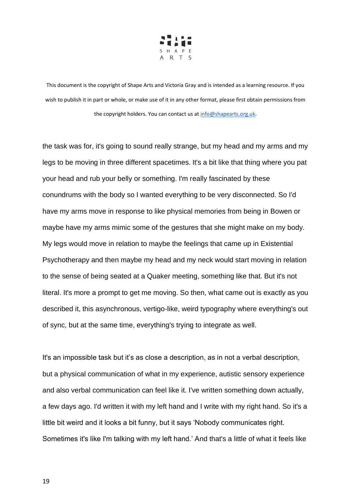

the task was for, it's going to sound really strange, but my head and my arms and my legs to be moving in three different spacetimes. It's a bit like that thing where you pat your head and rub your belly or something. I'm really fascinated by these conundrums with the body so I wanted everything to be very disconnected. So I'd have my arms move in response to like physical memories from being in Bowen or maybe have my arms mimic some of the gestures that she might make on my body. My legs would move in relation to maybe the feelings that came up in Existential Psychotherapy and then maybe my head and my neck would start moving in relation to the sense of being seated at a Quaker meeting, something like that. But it's not literal. It's more a prompt to get me moving. So then, what came out is exactly as you described it, this asynchronous, vertigo-like, weird typography where everything's out of sync, but at the same time, everything's trying to integrate as well.

It's an impossible task but it's as close a description, as in not a verbal description, but a physical communication of what in my experience, autistic sensory experience and also verbal communication can feel like it. I've written something down actually, a few days ago. I'd written it with my left hand and I write with my right hand. So it's a little bit weird and it looks a bit funny, but it says 'Nobody communicates right. Sometimes it's like I'm talking with my left hand.' And that's a little of what it feels like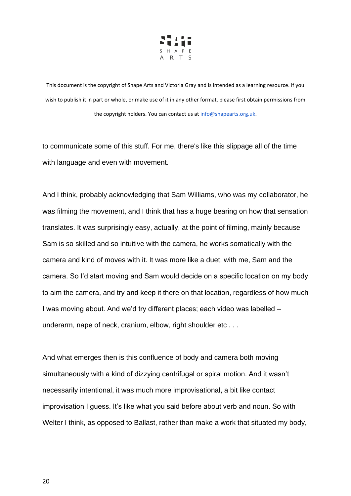

to communicate some of this stuff. For me, there's like this slippage all of the time with language and even with movement.

And I think, probably acknowledging that Sam Williams, who was my collaborator, he was filming the movement, and I think that has a huge bearing on how that sensation translates. It was surprisingly easy, actually, at the point of filming, mainly because Sam is so skilled and so intuitive with the camera, he works somatically with the camera and kind of moves with it. It was more like a duet, with me, Sam and the camera. So I'd start moving and Sam would decide on a specific location on my body to aim the camera, and try and keep it there on that location, regardless of how much I was moving about. And we'd try different places; each video was labelled – underarm, nape of neck, cranium, elbow, right shoulder etc . . .

And what emerges then is this confluence of body and camera both moving simultaneously with a kind of dizzying centrifugal or spiral motion. And it wasn't necessarily intentional, it was much more improvisational, a bit like contact improvisation I guess. It's like what you said before about verb and noun. So with Welter I think, as opposed to Ballast, rather than make a work that situated my body,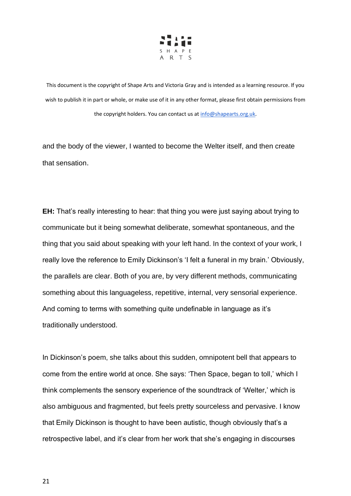

and the body of the viewer, I wanted to become the Welter itself, and then create that sensation.

**EH:** That's really interesting to hear: that thing you were just saying about trying to communicate but it being somewhat deliberate, somewhat spontaneous, and the thing that you said about speaking with your left hand. In the context of your work, I really love the reference to Emily Dickinson's 'I felt a funeral in my brain.' Obviously, the parallels are clear. Both of you are, by very different methods, communicating something about this languageless, repetitive, internal, very sensorial experience. And coming to terms with something quite undefinable in language as it's traditionally understood.

In Dickinson's poem, she talks about this sudden, omnipotent bell that appears to come from the entire world at once. She says: 'Then Space, began to toll,' which I think complements the sensory experience of the soundtrack of 'Welter,' which is also ambiguous and fragmented, but feels pretty sourceless and pervasive. I know that Emily Dickinson is thought to have been autistic, though obviously that's a retrospective label, and it's clear from her work that she's engaging in discourses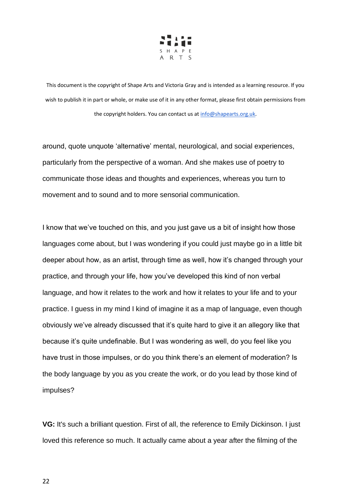

around, quote unquote 'alternative' mental, neurological, and social experiences, particularly from the perspective of a woman. And she makes use of poetry to communicate those ideas and thoughts and experiences, whereas you turn to movement and to sound and to more sensorial communication.

I know that we've touched on this, and you just gave us a bit of insight how those languages come about, but I was wondering if you could just maybe go in a little bit deeper about how, as an artist, through time as well, how it's changed through your practice, and through your life, how you've developed this kind of non verbal language, and how it relates to the work and how it relates to your life and to your practice. I guess in my mind I kind of imagine it as a map of language, even though obviously we've already discussed that it's quite hard to give it an allegory like that because it's quite undefinable. But I was wondering as well, do you feel like you have trust in those impulses, or do you think there's an element of moderation? Is the body language by you as you create the work, or do you lead by those kind of impulses?

**VG:** It's such a brilliant question. First of all, the reference to Emily Dickinson. I just loved this reference so much. It actually came about a year after the filming of the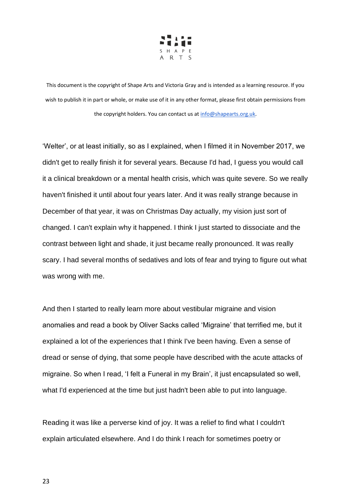

'Welter', or at least initially, so as I explained, when I filmed it in November 2017, we didn't get to really finish it for several years. Because I'd had, I guess you would call it a clinical breakdown or a mental health crisis, which was quite severe. So we really haven't finished it until about four years later. And it was really strange because in December of that year, it was on Christmas Day actually, my vision just sort of changed. I can't explain why it happened. I think I just started to dissociate and the contrast between light and shade, it just became really pronounced. It was really scary. I had several months of sedatives and lots of fear and trying to figure out what was wrong with me.

And then I started to really learn more about vestibular migraine and vision anomalies and read a book by Oliver Sacks called 'Migraine' that terrified me, but it explained a lot of the experiences that I think I've been having. Even a sense of dread or sense of dying, that some people have described with the acute attacks of migraine. So when I read, 'I felt a Funeral in my Brain', it just encapsulated so well, what I'd experienced at the time but just hadn't been able to put into language.

Reading it was like a perverse kind of joy. It was a relief to find what I couldn't explain articulated elsewhere. And I do think I reach for sometimes poetry or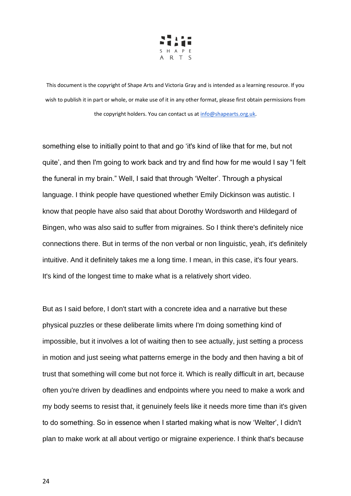

something else to initially point to that and go 'it's kind of like that for me, but not quite', and then I'm going to work back and try and find how for me would I say "I felt the funeral in my brain." Well, I said that through 'Welter'. Through a physical language. I think people have questioned whether Emily Dickinson was autistic. I know that people have also said that about Dorothy Wordsworth and Hildegard of Bingen, who was also said to suffer from migraines. So I think there's definitely nice connections there. But in terms of the non verbal or non linguistic, yeah, it's definitely intuitive. And it definitely takes me a long time. I mean, in this case, it's four years. It's kind of the longest time to make what is a relatively short video.

But as I said before, I don't start with a concrete idea and a narrative but these physical puzzles or these deliberate limits where I'm doing something kind of impossible, but it involves a lot of waiting then to see actually, just setting a process in motion and just seeing what patterns emerge in the body and then having a bit of trust that something will come but not force it. Which is really difficult in art, because often you're driven by deadlines and endpoints where you need to make a work and my body seems to resist that, it genuinely feels like it needs more time than it's given to do something. So in essence when I started making what is now 'Welter', I didn't plan to make work at all about vertigo or migraine experience. I think that's because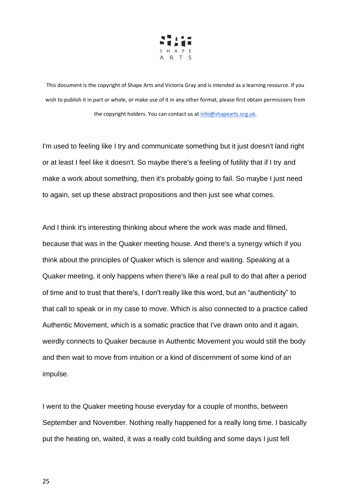

I'm used to feeling like I try and communicate something but it just doesn't land right or at least I feel like it doesn't. So maybe there's a feeling of futility that if I try and make a work about something, then it's probably going to fail. So maybe I just need to again, set up these abstract propositions and then just see what comes.

And I think it's interesting thinking about where the work was made and filmed, because that was in the Quaker meeting house. And there's a synergy which if you think about the principles of Quaker which is silence and waiting. Speaking at a Quaker meeting, it only happens when there's like a real pull to do that after a period of time and to trust that there's, I don't really like this word, but an "authenticity" to that call to speak or in my case to move. Which is also connected to a practice called Authentic Movement, which is a somatic practice that I've drawn onto and it again, weirdly connects to Quaker because in Authentic Movement you would still the body and then wait to move from intuition or a kind of discernment of some kind of an impulse.

I went to the Quaker meeting house everyday for a couple of months, between September and November. Nothing really happened for a really long time. I basically put the heating on, waited, it was a really cold building and some days I just fell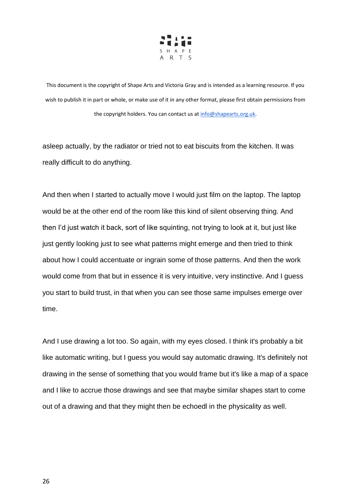

asleep actually, by the radiator or tried not to eat biscuits from the kitchen. It was really difficult to do anything.

And then when I started to actually move I would just film on the laptop. The laptop would be at the other end of the room like this kind of silent observing thing. And then I'd just watch it back, sort of like squinting, not trying to look at it, but just like just gently looking just to see what patterns might emerge and then tried to think about how I could accentuate or ingrain some of those patterns. And then the work would come from that but in essence it is very intuitive, very instinctive. And I guess you start to build trust, in that when you can see those same impulses emerge over time.

And I use drawing a lot too. So again, with my eyes closed. I think it's probably a bit like automatic writing, but I guess you would say automatic drawing. It's definitely not drawing in the sense of something that you would frame but it's like a map of a space and I like to accrue those drawings and see that maybe similar shapes start to come out of a drawing and that they might then be echoedl in the physicality as well.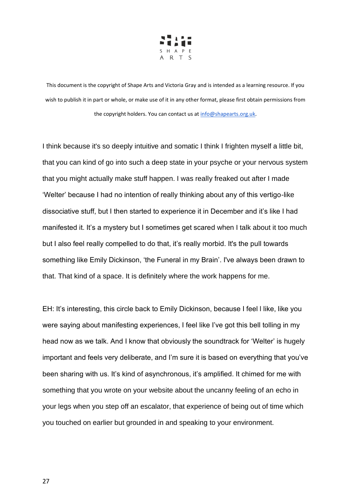

I think because it's so deeply intuitive and somatic I think I frighten myself a little bit, that you can kind of go into such a deep state in your psyche or your nervous system that you might actually make stuff happen. I was really freaked out after I made 'Welter' because I had no intention of really thinking about any of this vertigo-like dissociative stuff, but I then started to experience it in December and it's like I had manifested it. It's a mystery but I sometimes get scared when I talk about it too much but I also feel really compelled to do that, it's really morbid. It's the pull towards something like Emily Dickinson, 'the Funeral in my Brain'. I've always been drawn to that. That kind of a space. It is definitely where the work happens for me.

EH: It's interesting, this circle back to Emily Dickinson, because I feel l like, like you were saying about manifesting experiences, I feel like I've got this bell tolling in my head now as we talk. And I know that obviously the soundtrack for 'Welter' is hugely important and feels very deliberate, and I'm sure it is based on everything that you've been sharing with us. It's kind of asynchronous, it's amplified. It chimed for me with something that you wrote on your website about the uncanny feeling of an echo in your legs when you step off an escalator, that experience of being out of time which you touched on earlier but grounded in and speaking to your environment.

27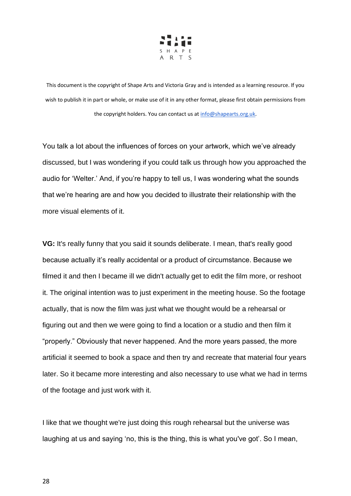

You talk a lot about the influences of forces on your artwork, which we've already discussed, but I was wondering if you could talk us through how you approached the audio for 'Welter.' And, if you're happy to tell us, I was wondering what the sounds that we're hearing are and how you decided to illustrate their relationship with the more visual elements of it.

**VG:** It's really funny that you said it sounds deliberate. I mean, that's really good because actually it's really accidental or a product of circumstance. Because we filmed it and then I became ill we didn't actually get to edit the film more, or reshoot it. The original intention was to just experiment in the meeting house. So the footage actually, that is now the film was just what we thought would be a rehearsal or figuring out and then we were going to find a location or a studio and then film it "properly." Obviously that never happened. And the more years passed, the more artificial it seemed to book a space and then try and recreate that material four years later. So it became more interesting and also necessary to use what we had in terms of the footage and just work with it.

I like that we thought we're just doing this rough rehearsal but the universe was laughing at us and saying 'no, this is the thing, this is what you've got'. So I mean,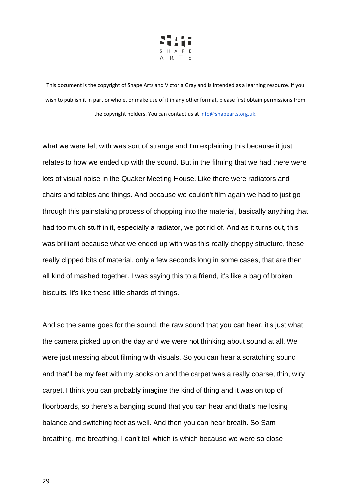

what we were left with was sort of strange and I'm explaining this because it just relates to how we ended up with the sound. But in the filming that we had there were lots of visual noise in the Quaker Meeting House. Like there were radiators and chairs and tables and things. And because we couldn't film again we had to just go through this painstaking process of chopping into the material, basically anything that had too much stuff in it, especially a radiator, we got rid of. And as it turns out, this was brilliant because what we ended up with was this really choppy structure, these really clipped bits of material, only a few seconds long in some cases, that are then all kind of mashed together. I was saying this to a friend, it's like a bag of broken biscuits. It's like these little shards of things.

And so the same goes for the sound, the raw sound that you can hear, it's just what the camera picked up on the day and we were not thinking about sound at all. We were just messing about filming with visuals. So you can hear a scratching sound and that'll be my feet with my socks on and the carpet was a really coarse, thin, wiry carpet. I think you can probably imagine the kind of thing and it was on top of floorboards, so there's a banging sound that you can hear and that's me losing balance and switching feet as well. And then you can hear breath. So Sam breathing, me breathing. I can't tell which is which because we were so close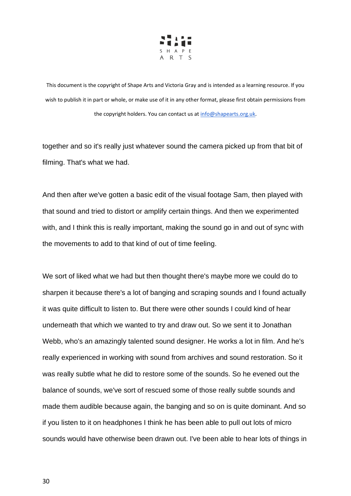

together and so it's really just whatever sound the camera picked up from that bit of filming. That's what we had.

And then after we've gotten a basic edit of the visual footage Sam, then played with that sound and tried to distort or amplify certain things. And then we experimented with, and I think this is really important, making the sound go in and out of sync with the movements to add to that kind of out of time feeling.

We sort of liked what we had but then thought there's maybe more we could do to sharpen it because there's a lot of banging and scraping sounds and I found actually it was quite difficult to listen to. But there were other sounds I could kind of hear underneath that which we wanted to try and draw out. So we sent it to Jonathan Webb, who's an amazingly talented sound designer. He works a lot in film. And he's really experienced in working with sound from archives and sound restoration. So it was really subtle what he did to restore some of the sounds. So he evened out the balance of sounds, we've sort of rescued some of those really subtle sounds and made them audible because again, the banging and so on is quite dominant. And so if you listen to it on headphones I think he has been able to pull out lots of micro sounds would have otherwise been drawn out. I've been able to hear lots of things in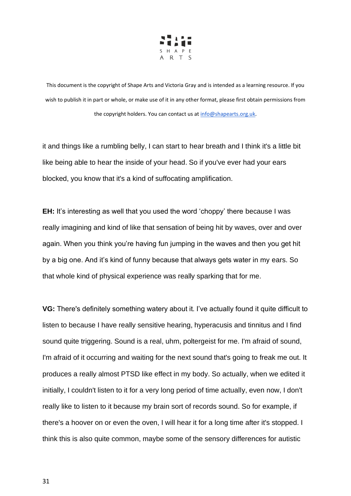

it and things like a rumbling belly, I can start to hear breath and I think it's a little bit like being able to hear the inside of your head. So if you've ever had your ears blocked, you know that it's a kind of suffocating amplification.

**EH:** It's interesting as well that you used the word 'choppy' there because I was really imagining and kind of like that sensation of being hit by waves, over and over again. When you think you're having fun jumping in the waves and then you get hit by a big one. And it's kind of funny because that always gets water in my ears. So that whole kind of physical experience was really sparking that for me.

**VG:** There's definitely something watery about it. I've actually found it quite difficult to listen to because I have really sensitive hearing, hyperacusis and tinnitus and I find sound quite triggering. Sound is a real, uhm, poltergeist for me. I'm afraid of sound, I'm afraid of it occurring and waiting for the next sound that's going to freak me out. It produces a really almost PTSD like effect in my body. So actually, when we edited it initially, I couldn't listen to it for a very long period of time actually, even now, I don't really like to listen to it because my brain sort of records sound. So for example, if there's a hoover on or even the oven, I will hear it for a long time after it's stopped. I think this is also quite common, maybe some of the sensory differences for autistic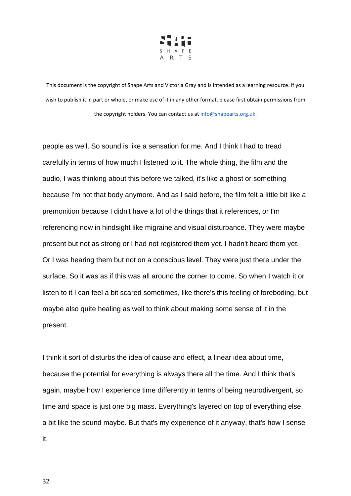

people as well. So sound is like a sensation for me. And I think I had to tread carefully in terms of how much I listened to it. The whole thing, the film and the audio, I was thinking about this before we talked, it's like a ghost or something because I'm not that body anymore. And as I said before, the film felt a little bit like a premonition because I didn't have a lot of the things that it references, or I'm referencing now in hindsight like migraine and visual disturbance. They were maybe present but not as strong or I had not registered them yet. I hadn't heard them yet. Or I was hearing them but not on a conscious level. They were just there under the surface. So it was as if this was all around the corner to come. So when I watch it or listen to it I can feel a bit scared sometimes, like there's this feeling of foreboding, but maybe also quite healing as well to think about making some sense of it in the present.

I think it sort of disturbs the idea of cause and effect, a linear idea about time, because the potential for everything is always there all the time. And I think that's again, maybe how I experience time differently in terms of being neurodivergent, so time and space is just one big mass. Everything's layered on top of everything else, a bit like the sound maybe. But that's my experience of it anyway, that's how I sense it.

32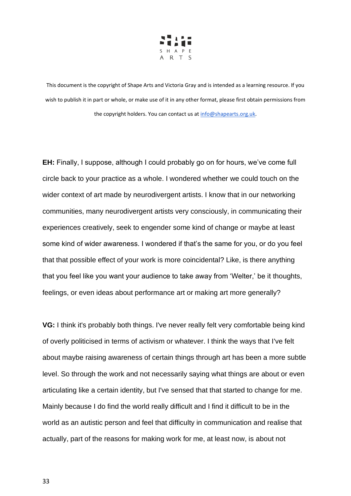

**EH:** Finally, I suppose, although I could probably go on for hours, we've come full circle back to your practice as a whole. I wondered whether we could touch on the wider context of art made by neurodivergent artists. I know that in our networking communities, many neurodivergent artists very consciously, in communicating their experiences creatively, seek to engender some kind of change or maybe at least some kind of wider awareness. I wondered if that's the same for you, or do you feel that that possible effect of your work is more coincidental? Like, is there anything that you feel like you want your audience to take away from 'Welter,' be it thoughts, feelings, or even ideas about performance art or making art more generally?

**VG:** I think it's probably both things. I've never really felt very comfortable being kind of overly politicised in terms of activism or whatever. I think the ways that I've felt about maybe raising awareness of certain things through art has been a more subtle level. So through the work and not necessarily saying what things are about or even articulating like a certain identity, but I've sensed that that started to change for me. Mainly because I do find the world really difficult and I find it difficult to be in the world as an autistic person and feel that difficulty in communication and realise that actually, part of the reasons for making work for me, at least now, is about not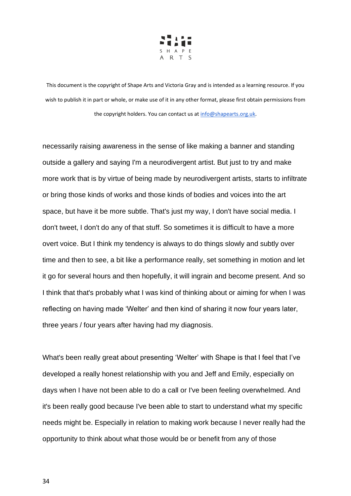

necessarily raising awareness in the sense of like making a banner and standing outside a gallery and saying I'm a neurodivergent artist. But just to try and make more work that is by virtue of being made by neurodivergent artists, starts to infiltrate or bring those kinds of works and those kinds of bodies and voices into the art space, but have it be more subtle. That's just my way, I don't have social media. I don't tweet, I don't do any of that stuff. So sometimes it is difficult to have a more overt voice. But I think my tendency is always to do things slowly and subtly over time and then to see, a bit like a performance really, set something in motion and let it go for several hours and then hopefully, it will ingrain and become present. And so I think that that's probably what I was kind of thinking about or aiming for when I was reflecting on having made 'Welter' and then kind of sharing it now four years later, three years / four years after having had my diagnosis.

What's been really great about presenting 'Welter' with Shape is that I feel that I've developed a really honest relationship with you and Jeff and Emily, especially on days when I have not been able to do a call or I've been feeling overwhelmed. And it's been really good because I've been able to start to understand what my specific needs might be. Especially in relation to making work because I never really had the opportunity to think about what those would be or benefit from any of those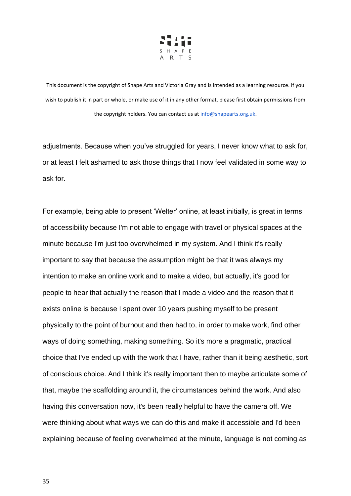

adjustments. Because when you've struggled for years, I never know what to ask for, or at least I felt ashamed to ask those things that I now feel validated in some way to ask for.

For example, being able to present 'Welter' online, at least initially, is great in terms of accessibility because I'm not able to engage with travel or physical spaces at the minute because I'm just too overwhelmed in my system. And I think it's really important to say that because the assumption might be that it was always my intention to make an online work and to make a video, but actually, it's good for people to hear that actually the reason that I made a video and the reason that it exists online is because I spent over 10 years pushing myself to be present physically to the point of burnout and then had to, in order to make work, find other ways of doing something, making something. So it's more a pragmatic, practical choice that I've ended up with the work that I have, rather than it being aesthetic, sort of conscious choice. And I think it's really important then to maybe articulate some of that, maybe the scaffolding around it, the circumstances behind the work. And also having this conversation now, it's been really helpful to have the camera off. We were thinking about what ways we can do this and make it accessible and I'd been explaining because of feeling overwhelmed at the minute, language is not coming as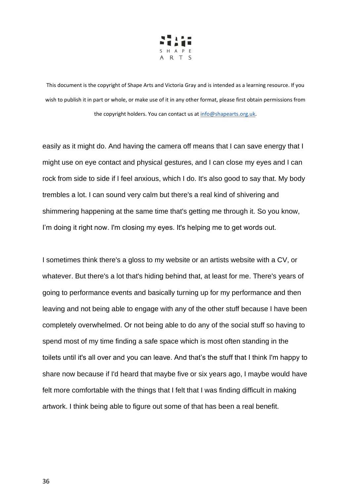

easily as it might do. And having the camera off means that I can save energy that I might use on eye contact and physical gestures, and I can close my eyes and I can rock from side to side if I feel anxious, which I do. It's also good to say that. My body trembles a lot. I can sound very calm but there's a real kind of shivering and shimmering happening at the same time that's getting me through it. So you know, I'm doing it right now. I'm closing my eyes. It's helping me to get words out.

I sometimes think there's a gloss to my website or an artists website with a CV, or whatever. But there's a lot that's hiding behind that, at least for me. There's years of going to performance events and basically turning up for my performance and then leaving and not being able to engage with any of the other stuff because I have been completely overwhelmed. Or not being able to do any of the social stuff so having to spend most of my time finding a safe space which is most often standing in the toilets until it's all over and you can leave. And that's the stuff that I think I'm happy to share now because if I'd heard that maybe five or six years ago, I maybe would have felt more comfortable with the things that I felt that I was finding difficult in making artwork. I think being able to figure out some of that has been a real benefit.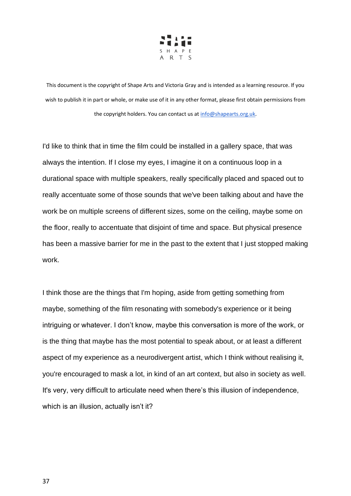

I'd like to think that in time the film could be installed in a gallery space, that was always the intention. If I close my eyes, I imagine it on a continuous loop in a durational space with multiple speakers, really specifically placed and spaced out to really accentuate some of those sounds that we've been talking about and have the work be on multiple screens of different sizes, some on the ceiling, maybe some on the floor, really to accentuate that disjoint of time and space. But physical presence has been a massive barrier for me in the past to the extent that I just stopped making work.

I think those are the things that I'm hoping, aside from getting something from maybe, something of the film resonating with somebody's experience or it being intriguing or whatever. I don't know, maybe this conversation is more of the work, or is the thing that maybe has the most potential to speak about, or at least a different aspect of my experience as a neurodivergent artist, which I think without realising it, you're encouraged to mask a lot, in kind of an art context, but also in society as well. It's very, very difficult to articulate need when there's this illusion of independence, which is an illusion, actually isn't it?

37